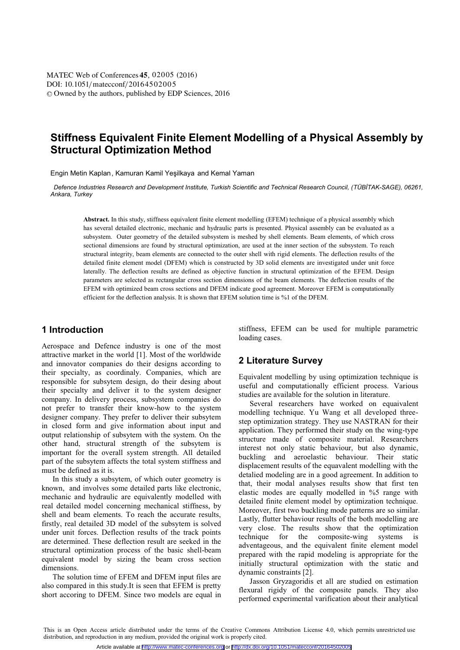[DOI: 10.1051](http://dx.doi.org/10.1051/matecconf/20164502005)/matecconf/20164502005 © Owned by the authors, published by [EDP Sciences,](http://www.edpsciences.org) 2016 MATEC [Web of Conferences](http://www.matec-conferences.org) 45, 02005 (2016)

# **Stiffness Equivalent Finite Element Modelling of a Physical Assembly by Structural Optimization Method**

Engin Metin Kaplan, Kamuran Kamil Yeşilkaya and Kemal Yaman

*Defence Industries Research and Development Institute, Turkish Scientific and Technical Research Council, (TÜBİTAK-SAGE), 06261, Ankara, Turkey*

**Abstract.** In this study, stiffness equivalent finite element modelling (EFEM) technique of a physical assembly which has several detailed electronic, mechanic and hydraulic parts is presented. Physical assembly can be evaluated as a subsystem. Outer geometry of the detailed subsystem is meshed by shell elements. Beam elements, of which cross sectional dimensions are found by structural optimization, are used at the inner section of the subsystem. To reach structural integrity, beam elements are connected to the outer shell with rigid elements. The deflection results of the detailed finite element model (DFEM) which is constructed by 3D solid elements are investigated under unit force laterally. The deflection results are defined as objective function in structural optimization of the EFEM. Design parameters are selected as rectangular cross section dimensions of the beam elements. The deflection results of the EFEM with optimized beam cross sections and DFEM indicate good agreement. Moreover EFEM is computationally efficient for the deflection analysis. It is shown that EFEM solution time is %1 of the DFEM.

## **1 Introduction**

Aerospace and Defence industry is one of the most attractive market in the world [1]. Most of the worldwide and innovator companies do their designs according to their specialty, as coordinaly. Companies, which are responsible for subsytem design, do their desing about their specialty and deliver it to the system designer company. In delivery process, subsystem companies do not prefer to transfer their know-how to the system designer company. They prefer to deliver their subsytem in closed form and give information about input and output relationship of subsytem with the system. On the other hand, structural strength of the subsytem is important for the overall system strength. All detailed part of the subsytem affects the total system stiffness and must be defined as it is.

In this study a subsytem, of which outer geometry is known, and involves some detailed parts like electronic, mechanic and hydraulic are equivalently modelled with real detailed model concerning mechanical stiffness, by shell and beam elements. To reach the accurate results, firstly, real detailed 3D model of the subsytem is solved under unit forces. Deflection results of the track points are determined. These deflection result are seeked in the structural optimization process of the basic shell-beam equivalent model by sizing the beam cross section dimensions.

The solution time of EFEM and DFEM input files are also compared in this study.It is seen that EFEM is pretty short accoring to DFEM. Since two models are equal in stiffness, EFEM can be used for multiple parametric loading cases.

## **2 Literature Survey**

Equivalent modelling by using optimization technique is useful and computationally efficient process. Various studies are available for the solution in literature.

Several researchers have worked on equaivalent modelling technique. Yu Wang et all developed threestep optimization strategy. They use NASTRAN for their application. They performed their study on the wing-type structure made of composite material. Researchers interest not only static behaviour, but also dynamic, buckling and aeroelastic behaviour. Their static displacement results of the equavalent modelling with the detalied modeling are in a good agreement. In addition to that, their modal analyses results show that first ten elastic modes are equally modelled in %5 range with detailed finite element model by optimization technique. Moreover, first two buckling mode patterns are so similar. Lastly, flutter behaviour results of the both modelling are very close. The results show that the optimization technique for the composite-wing systems is adventageous, and the equivalent finite element model prepared with the rapid modeling is appropriate for the initially structural optimization with the static and dynamic constraints [2].

Jasson Gryzagoridis et all are studied on estimation flexural rigidy of the composite panels. They also performed experimental varification about their analytical

This is an Open Access article distributed under the terms of the [Creative Commons Attribution License 4.0,](http://creativecommons.org/licenses/by/4.0) which permits unrestricted use distribution, and reproduction in any medium, provided the original work is properly cited.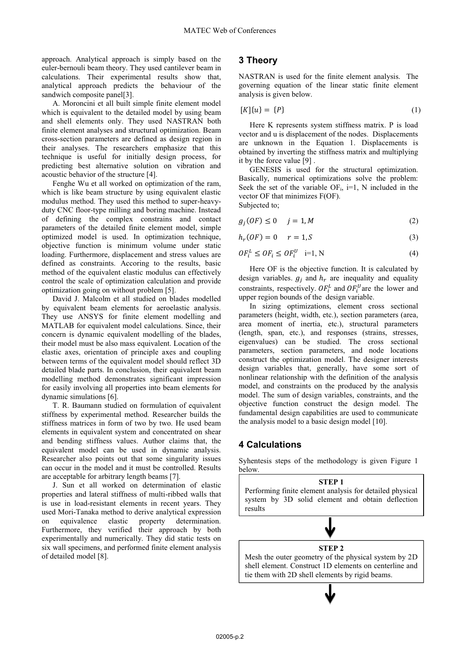approach. Analytical approach is simply based on the euler-bernouli beam theory. They used cantilever beam in calculations. Their experimental results show that, analytical approach predicts the behaviour of the sandwich composite panel[3].

A. Moroncini et all built simple finite element model which is equivalent to the detailed model by using beam and shell elements only. They used NASTRAN both finite element analyses and structural optimization. Beam cross-section parameters are defined as design region in their analyses. The researchers emphasize that this technique is useful for initially design process, for predicting best alternative solution on vibration and acoustic behavior of the structure [4].

Fenghe Wu et all worked on optimization of the ram, which is like beam structure by using equivalent elastic modulus method. They used this method to super-heavyduty CNC floor-type milling and boring machine. Instead of defining the complex constrains and contact parameters of the detailed finite element model, simple optimized model is used. In optimization technique, objective function is minimum volume under static loading. Furthermore, displacement and stress values are defined as constraints. Accoring to the results, basic method of the equivalent elastic modulus can effectively control the scale of optimization calculation and provide optimization going on without problem [5].

David J. Malcolm et all studied on blades modelled by equivalent beam elements for aeroelastic analysis. They use ANSYS for finite element modelling and MATLAB for equivalent model calculations. Since, their concern is dynamic equivalent modelling of the blades, their model must be also mass equivalent. Location of the elastic axes, orientation of principle axes and coupling between terms of the equivalent model should reflect 3D detailed blade parts. In conclusion, their equivalent beam modelling method demonstrates significant impression for easily involving all properties into beam elements for dynamic simulations [6].

T. R. Baumann studied on formulation of equivalent stiffness by experimental method. Researcher builds the stiffness matrices in form of two by two. He used beam elements in equivalent system and concentrated on shear and bending stiffness values. Author claims that, the equivalent model can be used in dynamic analysis. Researcher also points out that some singularity issues can occur in the model and it must be controlled. Results are acceptable for arbitrary length beams [7].

J. Sun et all worked on determination of elastic properties and lateral stiffness of multi-ribbed walls that is use in load-resistant elements in recent years. They used Mori-Tanaka method to derive analytical expression on equivalence elastic property determination. Furthermore, they verified their approach by both experimentally and numerically. They did static tests on six wall specimens, and performed finite element analysis of detailed model [8].

## **3 Theory**

NASTRAN is used for the finite element analysis. The governing equation of the linear static finite element analysis is given below.

$$
[K]\{u\} = \{P\} \tag{1}
$$

Here K represents system stiffness matrix. P is load vector and u is displacement of the nodes. Displacements are unknown in the Equation 1. Displacements is obtained by inverting the stiffness matrix and multiplying it by the force value [9] .

GENESIS is used for the structural optimization. Basically, numerical optimizations solve the problem: Seek the set of the variable  $OF_i$ , i=1, N included in the vector OF that minimizes F(OF). Subjected to;

$$
g_j(OF) \le 0 \t j = 1, M \t(2)
$$

 $h_r(OF) = 0 \t r = 1, S$  (3)

$$
OF_i^L \le OF_i \le OF_i^U \quad i=1, N \tag{4}
$$

Here OF is the objective function. It is calculated by design variables.  $g_i$  and  $h_r$  are inequality and equality constraints, respectively.  $OF_i^L$  and  $OF_i^U$  are the lower and upper region bounds of the design variable.

In sizing optimizations, element cross sectional parameters (height, width, etc.), section parameters (area, area moment of inertia, etc.), structural parameters (length, span, etc.), and responses (strains, stresses, eigenvalues) can be studied. The cross sectional parameters, section parameters, and node locations construct the optimization model. The designer interests design variables that, generally, have some sort of nonlinear relationship with the definition of the analysis model, and constraints on the produced by the analysis model. The sum of design variables, constraints, and the objective function construct the design model. The fundamental design capabilities are used to communicate the analysis model to a basic design model [10].

## **4 Calculations**

Syhentesis steps of the methodology is given Figure 1 below.

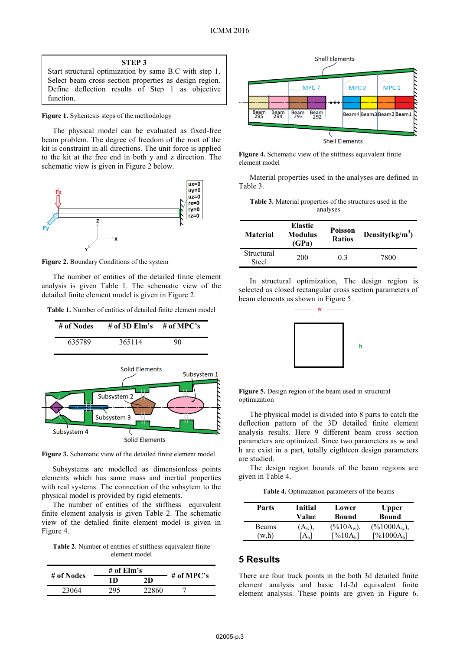Start structural optimization by same B.C with step 1. Select beam cross section properties as design region. Define deflection results of Step 1 as objective function.

#### **Figure 1.** Syhentesis steps of the methodology

The physical model can be evaluated as fixed-free beam problem. The degree of freedom of the root of the kit is constraint in all directions. The unit force is applied to the kit at the free end in both y and z direction. The schematic view is given in Figure 2 below.



**Figure 2.** Boundary Conditions of the system

The number of entities of the detailed finite element analysis is given Table 1. The schematic view of the detailed finite element model is given in Figure 2.

**Table 1.** Number of entities of detailed finite element model



**Figure 3.** Schematic view of the detailed finite element model

Subsystems are modelled as dimensionless points elements which has same mass and inertial properties with real systems. The connection of the subsytem to the physical model is provided by rigid elements.

The number of entities of the stiffness equivalent finite element analysis is given Table 2. The schematic view of the detalied finite element model is given in Figure 4.

Table 2. Number of entities of stiffness equivalent finite element model

|            | # of $\mathbf{Elm's}$ |       |            |
|------------|-----------------------|-------|------------|
| # of Nodes | 1 D                   | 2D.   | # of MPC's |
| 23064      | າດ<                   | 22860 |            |



**Figure 4.** Schematic view of the stiffness equivalent finite element model

Material properties used in the analyses are defined in Table 3.

| <b>Table 3.</b> Material properties of the structures used in the |  |
|-------------------------------------------------------------------|--|
| analyses                                                          |  |

| Material                   | <b>Elastic</b><br>Modulus<br>(GPa) | Poisson<br><b>Ratios</b> | Density $(kg/m^3)$ |
|----------------------------|------------------------------------|--------------------------|--------------------|
| Structural<br><b>Steel</b> | 200                                | 0.3                      | 7800               |

In structural optimization, The design region is selected as closed rectangular cross section parameters of beam elements as shown in Figure 5.

w



**Figure 5.** Design region of the beam used in structural optimization

The physical model is divided into 8 parts to catch the deflection pattern of the 3D detailed finite element analysis results. Here 9 different beam cross section parameters are optimized. Since two parameters as w and h are exist in a part, totally eigthteen design parameters are studied.

The design region bounds of the beam regions are given in Table 4.

**Table 4.** Optimization parameters of the beams

| <b>Parts</b> | Initial<br>Value | Lower<br>Bound       | <b>Upper</b><br><b>Bound</b> |
|--------------|------------------|----------------------|------------------------------|
| Beams        | $(A_w),$         | $(\%10A_w),$         | $(\frac{9}{6}1000A_w)$ ,     |
| (w.h)        |                  | [%10A <sub>h</sub> ] | [%1000A <sub>h</sub> ]       |

### **5 Results**

There are four track points in the both 3d detailed finite element analysis and basic 1d-2d equivalent finite element analysis. These points are given in Figure 6.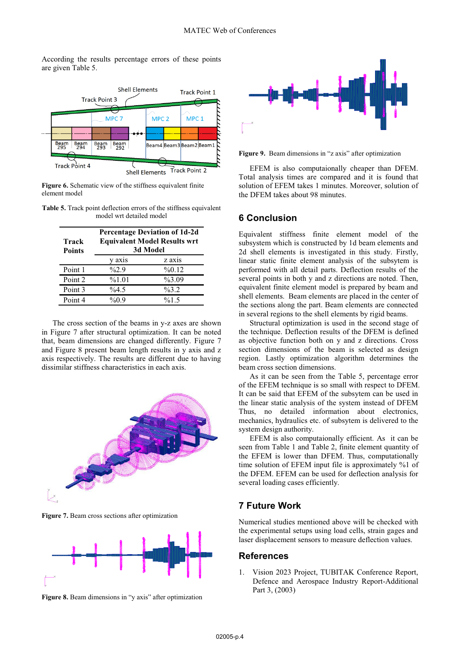According the results percentage errors of these points are given Table 5.



Figure 6. Schematic view of the stiffness equivalent finite element model

**Table 5.** Track point deflection errors of the stiffness equivalent model wrt detailed model

| Track<br><b>Points</b> | <b>Percentage Deviation of 1d-2d</b><br><b>Equivalent Model Results wrt</b><br>3d Model |          |
|------------------------|-----------------------------------------------------------------------------------------|----------|
|                        | y axis                                                                                  | z axis   |
| Point 1                | $\frac{6}{2}$ .9                                                                        | %0.12    |
| Point 2                | %1.01                                                                                   | $\%3.09$ |
| Point 3                | $\%4.5$                                                                                 | $\%3.2$  |
| Point 4                | $\%0.9$                                                                                 | %1.5     |

The cross section of the beams in y-z axes are shown in Figure 7 after structural optimization. It can be noted that, beam dimensions are changed differently. Figure 7 and Figure 8 present beam length results in y axis and z axis respectively. The results are different due to having dissimilar stiffness characteristics in each axis.



**Figure 7.** Beam cross sections after optimization







**Figure 9.** Beam dimensions in "z axis" after optimization

EFEM is also computaionally cheaper than DFEM. Total analysis times are compared and it is found that solution of EFEM takes 1 minutes. Moreover, solution of the DFEM takes about 98 minutes.

#### **6 Conclusion**

Equivalent stiffness finite element model of the subsystem which is constructed by 1d beam elements and 2d shell elements is investigated in this study. Firstly, linear static finite element analysis of the subsytem is performed with all detail parts. Deflection results of the several points in both y and z directions are noted. Then, equivalent finite element model is prepared by beam and shell elements. Beam elements are placed in the center of the sections along the part. Beam elements are connected in several regions to the shell elements by rigid beams.

Structural optimization is used in the second stage of the technique. Deflection results of the DFEM is defined as objective function both on y and z directions. Cross section dimensions of the beam is selected as design region. Lastly optimization algorithm determines the beam cross section dimensions.

As it can be seen from the Table 5, percentage error of the EFEM technique is so small with respect to DFEM. It can be said that EFEM of the subsytem can be used in the linear static analysis of the system instead of DFEM Thus, no detailed information about electronics, mechanics, hydraulics etc. of subsytem is delivered to the system design authority.

EFEM is also computaionally efficient. As it can be seen from Table 1 and Table 2, finite element quantity of the EFEM is lower than DFEM. Thus, computationally time solution of EFEM input file is approximately %1 of the DFEM. EFEM can be used for deflection analysis for several loading cases efficiently.

## **7 Future Work**

Numerical studies mentioned above will be checked with the experimental setups using load cells, strain gages and laser displacement sensors to measure deflection values.

#### **References**

1. Vision 2023 Project, TUBITAK Conference Report, Defence and Aerospace Industry Report-Additional Part 3, (2003)